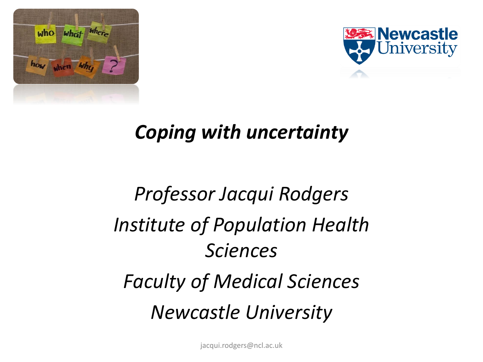



#### *Coping with uncertainty*

## *Professor Jacqui Rodgers Institute of Population Health Sciences Faculty of Medical Sciences Newcastle University*

jacqui.rodgers@ncl.ac.uk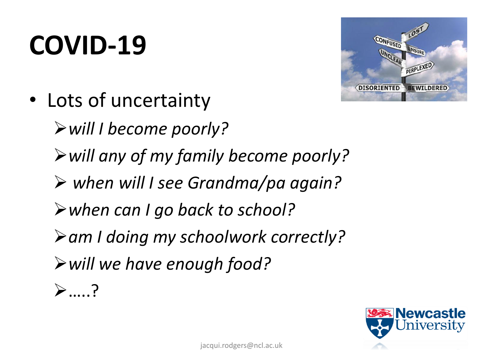## **COVID-19**



• Lots of uncertainty

➢*will I become poorly?* 

- ➢*will any of my family become poorly?*
- ➢ *when will I see Grandma/pa again?*
- ➢*when can I go back to school?*
- ➢*am I doing my schoolwork correctly?*
- ➢*will we have enough food?*
- ➢…..?

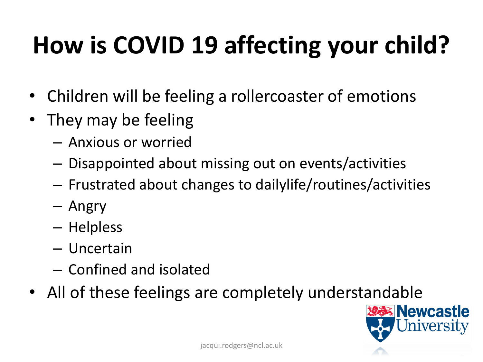## **How is COVID 19 affecting your child?**

- Children will be feeling a rollercoaster of emotions
- They may be feeling
	- Anxious or worried
	- Disappointed about missing out on events/activities
	- Frustrated about changes to dailylife/routines/activities
	- Angry
	- Helpless
	- Uncertain
	- Confined and isolated
- All of these feelings are completely understandable

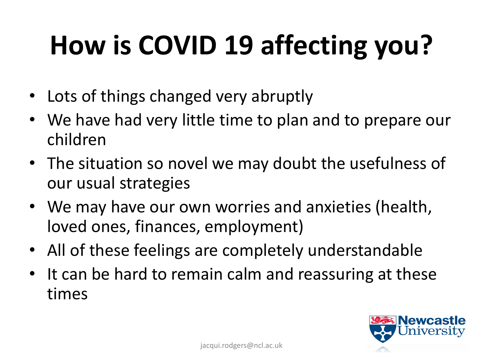# **How is COVID 19 affecting you?**

- Lots of things changed very abruptly
- We have had very little time to plan and to prepare our children
- The situation so novel we may doubt the usefulness of our usual strategies
- We may have our own worries and anxieties (health, loved ones, finances, employment)
- All of these feelings are completely understandable
- It can be hard to remain calm and reassuring at these times

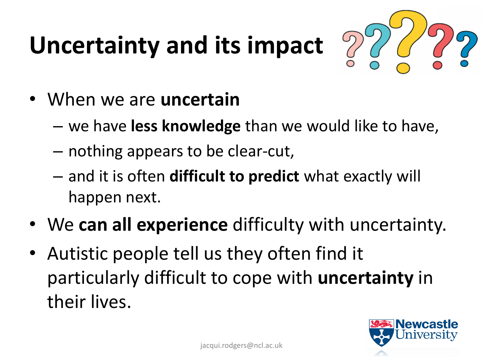## **Uncertainty and its impact**



- When we are **uncertain**
	- we have **less knowledge** than we would like to have,
	- nothing appears to be clear-cut,
	- and it is often **difficult to predict** what exactly will happen next.
- We **can all experience** difficulty with uncertainty.
- Autistic people tell us they often find it particularly difficult to cope with **uncertainty** in their lives.

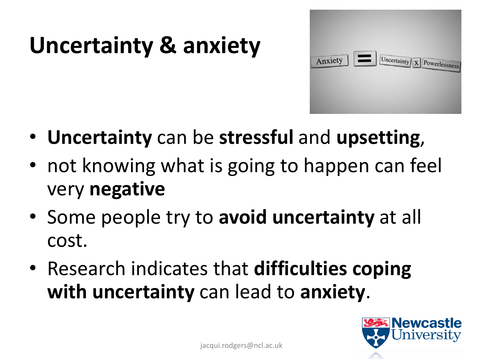## **Uncertainty & anxiety**



- **Uncertainty** can be **stressful** and **upsetting**,
- not knowing what is going to happen can feel very **negative**
- Some people try to **avoid uncertainty** at all cost.
- Research indicates that **difficulties coping with uncertainty** can lead to **anxiety**.

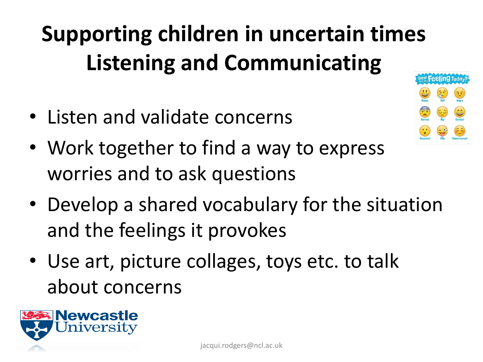#### **Supporting children in uncertain times Listening and Communicating Feeling Today**

- Listen and validate concerns
- Work together to find a way to express worries and to ask questions
- Develop a shared vocabulary for the situation and the feelings it provokes
- Use art, picture collages, toys etc. to talk about concerns

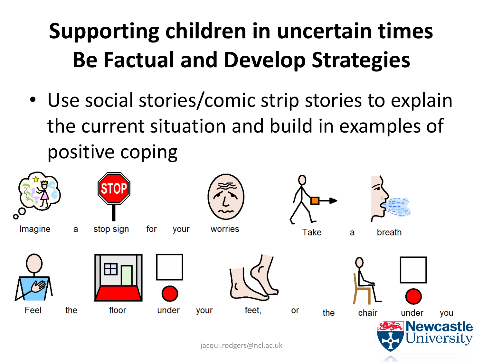#### **Supporting children in uncertain times Be Factual and Develop Strategies**

• Use social stories/comic strip stories to explain the current situation and build in examples of positive coping

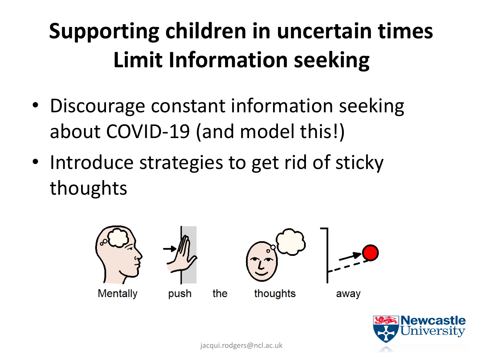#### **Supporting children in uncertain times Limit Information seeking**

- Discourage constant information seeking about COVID-19 (and model this!)
- Introduce strategies to get rid of sticky thoughts



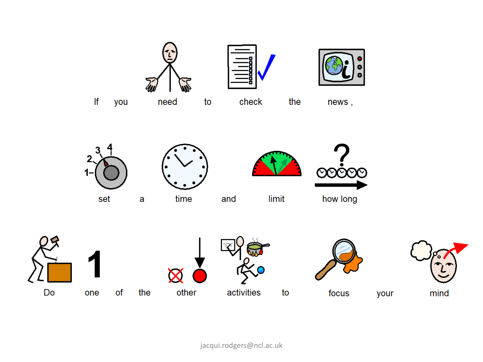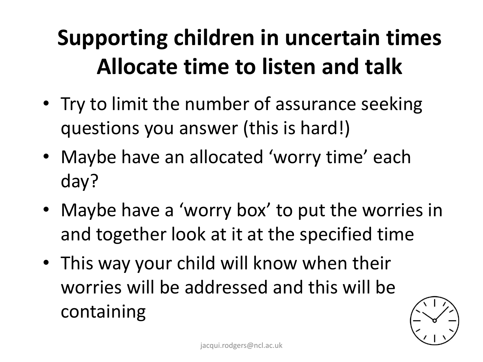#### **Supporting children in uncertain times Allocate time to listen and talk**

- Try to limit the number of assurance seeking questions you answer (this is hard!)
- Maybe have an allocated 'worry time' each day?
- Maybe have a 'worry box' to put the worries in and together look at it at the specified time
- This way your child will know when their worries will be addressed and this will be containing

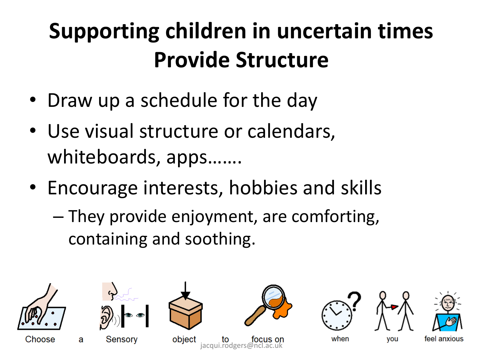#### **Supporting children in uncertain times Provide Structure**

- Draw up a schedule for the day
- Use visual structure or calendars, whiteboards, apps…….
- Encourage interests, hobbies and skills
	- They provide enjoyment, are comforting, containing and soothing.



Choose



Sensory

a

object  $iacqui.rodgers@nc$ 







you



when

feel anxious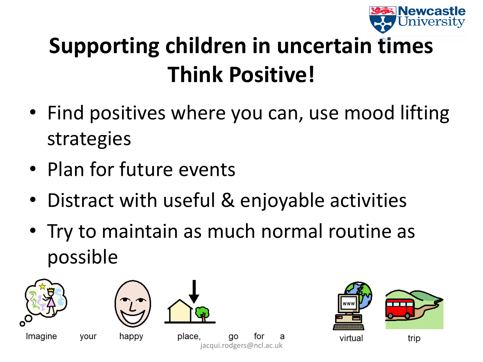

#### **Supporting children in uncertain times Think Positive!**

- Find positives where you can, use mood lifting strategies
- Plan for future events
- Distract with useful & enjoyable activities
- Try to maintain as much normal routine as possible

jacqui.rodgers@ncl.ac.uk

ao

for



Imagine



your happy

place,



virtual

trip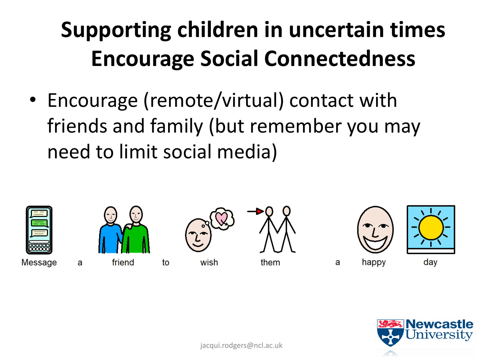#### **Supporting children in uncertain times Encourage Social Connectedness**

• Encourage (remote/virtual) contact with friends and family (but remember you may need to limit social media)



Message

a



to

wish

them

a







jacqui.rodgers@ncl.ac.uk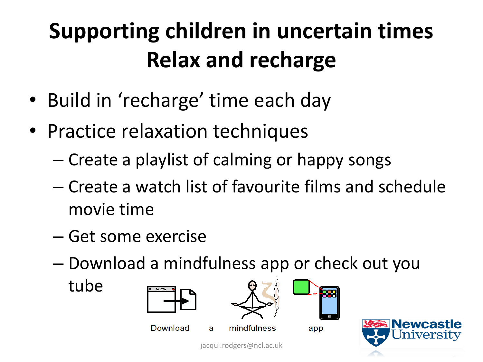## **Supporting children in uncertain times Relax and recharge**

- Build in 'recharge' time each day
- Practice relaxation techniques
	- Create a playlist of calming or happy songs
	- Create a watch list of favourite films and schedule movie time
	- Get some exercise
	- Download a mindfulness app or check out you

tube



**Newcastl**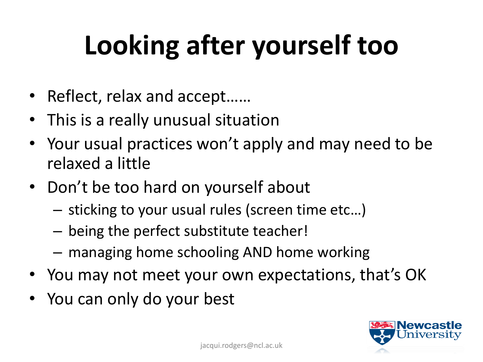# **Looking after yourself too**

- Reflect, relax and accept……
- This is a really unusual situation
- Your usual practices won't apply and may need to be relaxed a little
- Don't be too hard on yourself about
	- sticking to your usual rules (screen time etc…)
	- being the perfect substitute teacher!
	- managing home schooling AND home working
- You may not meet your own expectations, that's OK
- You can only do your best